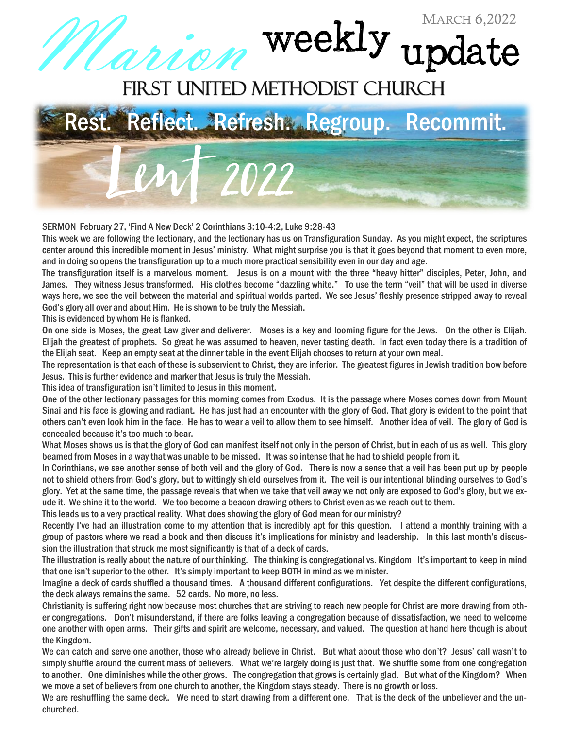## *ANON* Weekly update



## SERMON February 27, 'Find A New Deck' 2 Corinthians 3:10-4:2, Luke 9:28-43

This week we are following the lectionary, and the lectionary has us on Transfiguration Sunday. As you might expect, the scriptures center around this incredible moment in Jesus' ministry. What might surprise you is that it goes beyond that moment to even more, and in doing so opens the transfiguration up to a much more practical sensibility even in our day and age.

The transfiguration itself is a marvelous moment. Jesus is on a mount with the three "heavy hitter" disciples, Peter, John, and James. They witness Jesus transformed. His clothes become "dazzling white." To use the term "veil" that will be used in diverse ways here, we see the veil between the material and spiritual worlds parted. We see Jesus' fleshly presence stripped away to reveal God's glory all over and about Him. He is shown to be truly the Messiah.

This is evidenced by whom He is flanked.

On one side is Moses, the great Law giver and deliverer. Moses is a key and looming figure for the Jews. On the other is Elijah. Elijah the greatest of prophets. So great he was assumed to heaven, never tasting death. In fact even today there is a tradition of the Elijah seat. Keep an empty seat at the dinner table in the event Elijah chooses to return at your own meal.

The representation is that each of these is subservient to Christ, they are inferior. The greatest figures in Jewish tradition bow before Jesus. This is further evidence and marker that Jesus is truly the Messiah.

This idea of transfiguration isn't limited to Jesus in this moment.

One of the other lectionary passages for this morning comes from Exodus. It is the passage where Moses comes down from Mount Sinai and his face is glowing and radiant. He has just had an encounter with the glory of God. That glory is evident to the point that others can't even look him in the face. He has to wear a veil to allow them to see himself. Another idea of veil. The glory of God is concealed because it's too much to bear.

What Moses shows us is that the glory of God can manifest itself not only in the person of Christ, but in each of us as well. This glory beamed from Moses in a way that was unable to be missed. It was so intense that he had to shield people from it.

In Corinthians, we see another sense of both veil and the glory of God. There is now a sense that a veil has been put up by people not to shield others from God's glory, but to wittingly shield ourselves from it. The veil is our intentional blinding ourselves to God's glory. Yet at the same time, the passage reveals that when we take that veil away we not only are exposed to God's glory, but we exude it. We shine it to the world. We too become a beacon drawing others to Christ even as we reach out to them.

This leads us to a very practical reality. What does showing the glory of God mean for our ministry?

Recently I've had an illustration come to my attention that is incredibly apt for this question. I attend a monthly training with a group of pastors where we read a book and then discuss it's implications for ministry and leadership. In this last month's discussion the illustration that struck me most significantly is that of a deck of cards.

The illustration is really about the nature of our thinking. The thinking is congregational vs. Kingdom It's important to keep in mind that one isn't superior to the other. It's simply important to keep BOTH in mind as we minister.

Imagine a deck of cards shuffled a thousand times. A thousand different configurations. Yet despite the different configurations, the deck always remains the same. 52 cards. No more, no less.

Christianity is suffering right now because most churches that are striving to reach new people for Christ are more drawing from other congregations. Don't misunderstand, if there are folks leaving a congregation because of dissatisfaction, we need to welcome one another with open arms. Their gifts and spirit are welcome, necessary, and valued. The question at hand here though is about the Kingdom.

We can catch and serve one another, those who already believe in Christ. But what about those who don't? Jesus' call wasn't to simply shuffle around the current mass of believers. What we're largely doing is just that. We shuffle some from one congregation to another. One diminishes while the other grows. The congregation that grows is certainly glad. But what of the Kingdom? When we move a set of believers from one church to another, the Kingdom stays steady. There is no growth or loss.

We are reshuffling the same deck. We need to start drawing from a different one. That is the deck of the unbeliever and the unchurched.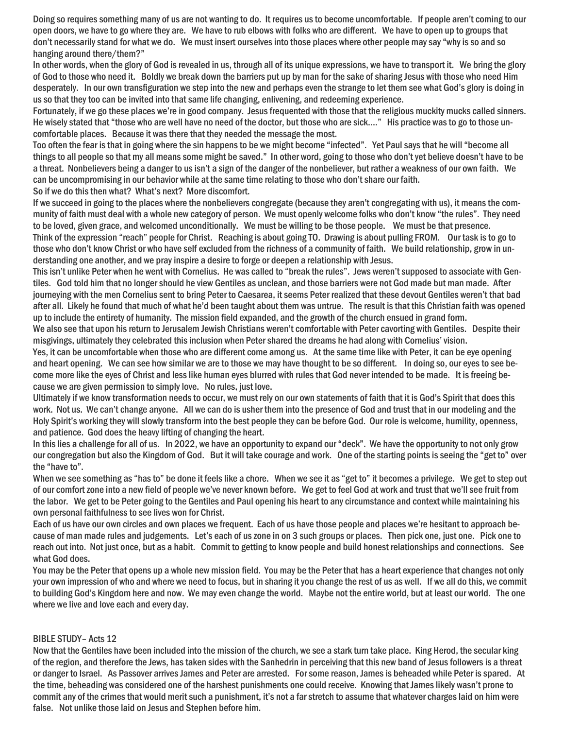Doing so requires something many of us are not wanting to do. It requires us to become uncomfortable. If people aren't coming to our open doors, we have to go where they are. We have to rub elbows with folks who are different. We have to open up to groups that don't necessarily stand for what we do. We must insert ourselves into those places where other people may say "why is so and so hanging around there/them?"

In other words, when the glory of God is revealed in us, through all of its unique expressions, we have to transport it. We bring the glory of God to those who need it. Boldly we break down the barriers put up by man for the sake of sharing Jesus with those who need Him desperately. In our own transfiguration we step into the new and perhaps even the strange to let them see what God's glory is doing in us so that they too can be invited into that same life changing, enlivening, and redeeming experience.

Fortunately, if we go these places we're in good company. Jesus frequented with those that the religious muckity mucks called sinners. He wisely stated that "those who are well have no need of the doctor, but those who are sick…." His practice was to go to those uncomfortable places. Because it was there that they needed the message the most.

Too often the fear is that in going where the sin happens to be we might become "infected". Yet Paul says that he will "become all things to all people so that my all means some might be saved." In other word, going to those who don't yet believe doesn't have to be a threat. Nonbelievers being a danger to us isn't a sign of the danger of the nonbeliever, but rather a weakness of our own faith. We can be uncompromising in our behavior while at the same time relating to those who don't share our faith.

So if we do this then what? What's next? More discomfort.

If we succeed in going to the places where the nonbelievers congregate (because they aren't congregating with us), it means the community of faith must deal with a whole new category of person. We must openly welcome folks who don't know "the rules". They need to be loved, given grace, and welcomed unconditionally. We must be willing to be those people. We must be that presence. Think of the expression "reach" people for Christ. Reaching is about going TO. Drawing is about pulling FROM. Our task is to go to those who don't know Christ or who have self excluded from the richness of a community of faith. We build relationship, grow in understanding one another, and we pray inspire a desire to forge or deepen a relationship with Jesus.

This isn't unlike Peter when he went with Cornelius. He was called to "break the rules". Jews weren't supposed to associate with Gentiles. God told him that no longer should he view Gentiles as unclean, and those barriers were not God made but man made. After journeying with the men Cornelius sent to bring Peter to Caesarea, it seems Peter realized that these devout Gentiles weren't that bad after all. Likely he found that much of what he'd been taught about them was untrue. The result is that this Christian faith was opened up to include the entirety of humanity. The mission field expanded, and the growth of the church ensued in grand form.

We also see that upon his return to Jerusalem Jewish Christians weren't comfortable with Peter cavorting with Gentiles. Despite their misgivings, ultimately they celebrated this inclusion when Peter shared the dreams he had along with Cornelius' vision.

Yes, it can be uncomfortable when those who are different come among us. At the same time like with Peter, it can be eye opening and heart opening. We can see how similar we are to those we may have thought to be so different. In doing so, our eyes to see become more like the eyes of Christ and less like human eyes blurred with rules that God never intended to be made. It is freeing because we are given permission to simply love. No rules, just love.

Ultimately if we know transformation needs to occur, we must rely on our own statements of faith that it is God's Spirit that does this work. Not us. We can't change anyone. All we can do is usher them into the presence of God and trust that in our modeling and the Holy Spirit's working they will slowly transform into the best people they can be before God. Our role is welcome, humility, openness, and patience. God does the heavy lifting of changing the heart.

In this lies a challenge for all of us. In 2022, we have an opportunity to expand our "deck". We have the opportunity to not only grow our congregation but also the Kingdom of God. But it will take courage and work. One of the starting points is seeing the "get to" over the "have to".

When we see something as "has to" be done it feels like a chore. When we see it as "get to" it becomes a privilege. We get to step out of our comfort zone into a new field of people we've never known before. We get to feel God at work and trust that we'll see fruit from the labor. We get to be Peter going to the Gentiles and Paul opening his heart to any circumstance and context while maintaining his own personal faithfulness to see lives won for Christ.

Each of us have our own circles and own places we frequent. Each of us have those people and places we're hesitant to approach because of man made rules and judgements. Let's each of us zone in on 3 such groups or places. Then pick one, just one. Pick one to reach out into. Not just once, but as a habit. Commit to getting to know people and build honest relationships and connections. See what God does.

You may be the Peter that opens up a whole new mission field. You may be the Peter that has a heart experience that changes not only your own impression of who and where we need to focus, but in sharing it you change the rest of us as well. If we all do this, we commit to building God's Kingdom here and now. We may even change the world. Maybe not the entire world, but at least our world. The one where we live and love each and every day.

## BIBLE STUDY– Acts 12

Now that the Gentiles have been included into the mission of the church, we see a stark turn take place. King Herod, the secular king of the region, and therefore the Jews, has taken sides with the Sanhedrin in perceiving that this new band of Jesus followers is a threat or danger to Israel. As Passover arrives James and Peter are arrested. For some reason, James is beheaded while Peter is spared. At the time, beheading was considered one of the harshest punishments one could receive. Knowing that James likely wasn't prone to commit any of the crimes that would merit such a punishment, it's not a far stretch to assume that whatever charges laid on him were false. Not unlike those laid on Jesus and Stephen before him.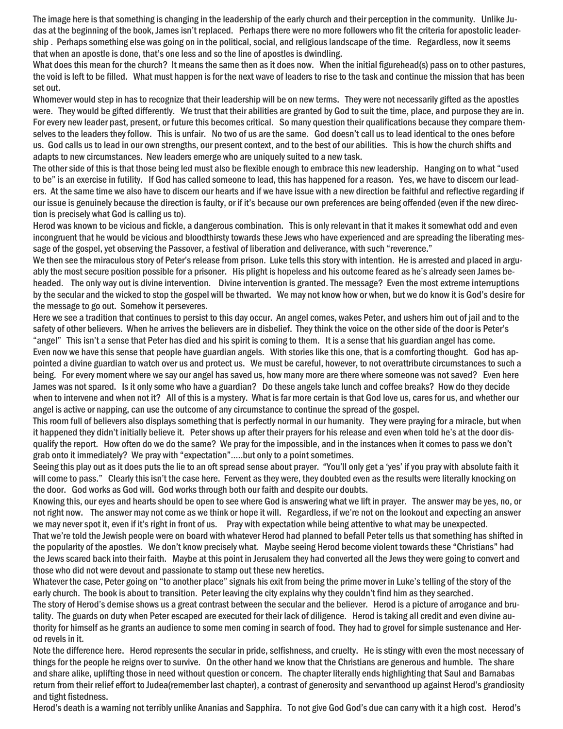The image here is that something is changing in the leadership of the early church and their perception in the community. Unlike Judas at the beginning of the book, James isn't replaced. Perhaps there were no more followers who fit the criteria for apostolic leadership . Perhaps something else was going on in the political, social, and religious landscape of the time. Regardless, now it seems that when an apostle is done, that's one less and so the line of apostles is dwindling.

What does this mean for the church? It means the same then as it does now. When the initial figurehead(s) pass on to other pastures, the void is left to be filled. What must happen is for the next wave of leaders to rise to the task and continue the mission that has been set out.

Whomever would step in has to recognize that their leadership will be on new terms. They were not necessarily gifted as the apostles were. They would be gifted differently. We trust that their abilities are granted by God to suit the time, place, and purpose they are in. For every new leader past, present, or future this becomes critical. So many question their qualifications because they compare themselves to the leaders they follow. This is unfair. No two of us are the same. God doesn't call us to lead identical to the ones before us. God calls us to lead in our own strengths, our present context, and to the best of our abilities. This is how the church shifts and adapts to new circumstances. New leaders emerge who are uniquely suited to a new task.

The other side of this is that those being led must also be flexible enough to embrace this new leadership. Hanging on to what"used to be" is an exercise in futility. If God has called someone to lead, this has happened for a reason. Yes, we have to discern our leaders. At the same time we also have to discern our hearts and if we have issue with a new direction be faithful and reflective regarding if our issue is genuinely because the direction is faulty, or if it's because our own preferences are being offended (even if the new direction is precisely what God is calling us to).

Herod was known to be vicious and fickle, a dangerous combination. This is only relevant in that it makes it somewhat odd and even incongruent that he would be vicious and bloodthirsty towards these Jews who have experienced and are spreading the liberating message of the gospel, yet observing the Passover, a festival of liberation and deliverance, with such "reverence."

We then see the miraculous story of Peter's release from prison. Luke tells this story with intention. He is arrested and placed in arguably the mostsecure position possible for a prisoner. His plight is hopeless and his outcome feared as he's alreadyseen James beheaded. The only way out is divine intervention. Divine intervention is granted. The message? Even the most extreme interruptions by the secular and the wicked to stop the gospel will be thwarted. We may not know how or when, but we do know it is God's desire for the message to go out. Somehow it perseveres.

Here we see a tradition that continues to persist to this day occur. An angel comes, wakes Peter, and ushers him out of jail and to the safety of other believers. When he arrives the believers are in disbelief. They think the voice on the other side of the door is Peter's "angel" This isn't a sense that Peter has died and his spirit is coming to them. It is a sense that his guardian angel has come. Even now we have this sense that people have guardian angels. With stories like this one, that is a comforting thought. God has appointed a divine guardian to watch over us and protect us. We must be careful, however, to not overattribute circumstances to such a being. For every moment where we say our angel has saved us, how many more are there where someone was not saved? Even here James was not spared. Is it only some who have a guardian? Do these angels take lunch and coffee breaks? How do they decide when to intervene and when not it? All of this is a mystery. What is far more certain is that God love us, cares for us, and whether our angel is active or napping, can use the outcome of any circumstance to continue the spread of the gospel.

This room full of believers also displays something that is perfectly normal in our humanity. They were praying for a miracle, but when it happened they didn't initially believe it. Peter shows up after their prayers for his release and even when told he's at the door disqualify the report. How often do we do the same? We pray for the impossible, and in the instances when it comes to pass we don't grab onto it immediately? We pray with "expectation"…..but only to a point sometimes.

Seeing this play out as it does puts the lie to an oft spread sense about prayer. "You'll only get a 'yes' if you pray with absolute faith it will come to pass." Clearly this isn't the case here. Fervent as they were, they doubted even as the results were literally knocking on the door. God works as God will. God works through both our faith and despite our doubts.

Knowing this, our eyes and hearts should be open to see where God is answering what we lift in prayer. The answer may be yes, no, or not right now. The answer may not come as we think or hope it will. Regardless, if we're not on the lookout and expecting an answer we may never spot it, even if it's right in front of us. Pray with expectation while being attentive to what may be unexpected.

That we're told the Jewish people were on board with whatever Herod had planned to befall Peter tells us that something has shifted in the popularity of the apostles. We don't know precisely what. Maybe seeing Herod become violent towards these "Christians" had the Jews scared back into their faith. Maybe at this point in Jerusalem they had converted all the Jews they were going to convert and those who did not were devout and passionate to stamp out these new heretics.

Whatever the case, Peter going on "to another place" signals his exit from being the prime mover in Luke's telling of the story of the early church. The book is about to transition. Peter leaving the city explains why they couldn't find him as they searched.

The story of Herod's demise shows us a great contrast between the secular and the believer. Herod is a picture of arrogance and brutality. The guards on duty when Peter escaped are executed for their lack of diligence. Herod is taking all credit and even divine authority for himself as he grants an audience to some men coming in search of food. They had to grovel for simple sustenance and Herod revels in it.

Note the difference here. Herod represents the secular in pride, selfishness, and cruelty. He is stingy with even the most necessary of things for the people he reigns over to survive. On the other hand we know that the Christians are generous and humble. The share and share alike, uplifting those in need without question or concern. The chapter literally ends highlighting that Saul and Barnabas return from their relief effort to Judea(remember last chapter), a contrast of generosity and servanthood up against Herod's grandiosity and tight fistedness.

Herod's death is a warning not terribly unlike Ananias and Sapphira. To not give God God's due can carry with it a high cost. Herod's